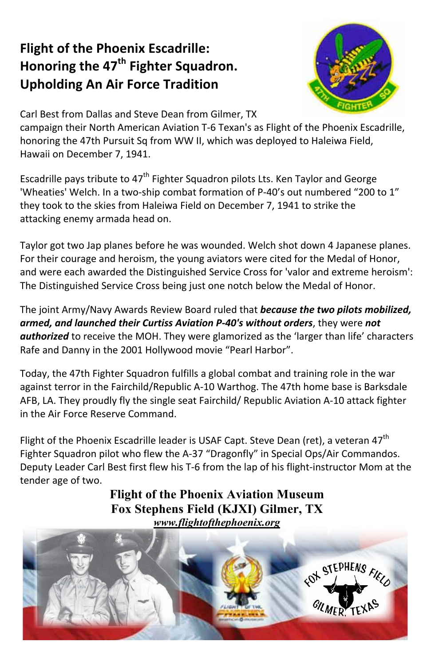## **Flight of the Phoenix Escadrille:** Honoring the 47<sup>th</sup> Fighter Squadron. **Upholding An Air Force Tradition**



Carl Best from Dallas and Steve Dean from Gilmer. TX

campaign their North American Aviation T-6 Texan's as Flight of the Phoenix Escadrille. honoring the 47th Pursuit Sq from WW II, which was deployed to Haleiwa Field, Hawaii on December 7, 1941.

Escadrille pays tribute to 47<sup>th</sup> Fighter Squadron pilots Lts. Ken Taylor and George 'Wheaties' Welch. In a two-ship combat formation of P-40's out numbered "200 to 1" they took to the skies from Haleiwa Field on December 7, 1941 to strike the attacking enemy armada head on.

Taylor got two Jap planes before he was wounded. Welch shot down 4 Japanese planes. For their courage and heroism, the young aviators were cited for the Medal of Honor, and were each awarded the Distinguished Service Cross for 'valor and extreme heroism': The Distinguished Service Cross being just one notch below the Medal of Honor.

The joint Army/Navy Awards Review Board ruled that because the two pilots mobilized, armed, and launched their Curtiss Aviation P-40's without orders, they were not **authorized** to receive the MOH. They were glamorized as the 'larger than life' characters Rafe and Danny in the 2001 Hollywood movie "Pearl Harbor".

Today, the 47th Fighter Squadron fulfills a global combat and training role in the war against terror in the Fairchild/Republic A-10 Warthog. The 47th home base is Barksdale AFB, LA. They proudly fly the single seat Fairchild/ Republic Aviation A-10 attack fighter in the Air Force Reserve Command.

Flight of the Phoenix Escadrille leader is USAF Capt. Steve Dean (ret), a veteran 47<sup>th</sup> Fighter Squadron pilot who flew the A-37 "Dragonfly" in Special Ops/Air Commandos. Deputy Leader Carl Best first flew his T-6 from the lap of his flight-instructor Mom at the tender age of two.

**Flight of the Phoenix Aviation Museum** Fox Stephens Field (KJXI) Gilmer, TX www.flightofthephoenix.org